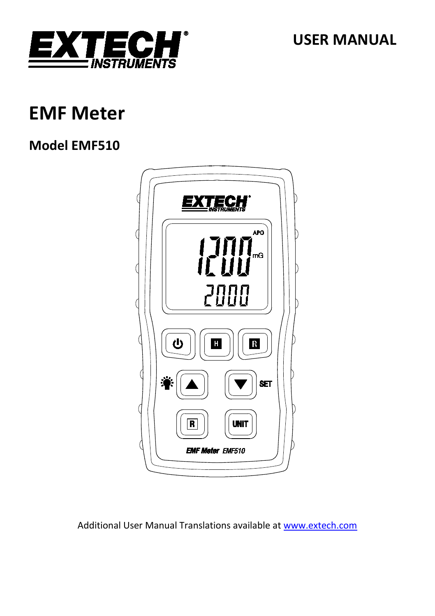

**USER MANUAL**

## **EMF Meter**

## **Model EMF510**



Additional User Manual Translations available at [www.extech.com](http://www.extech.com/)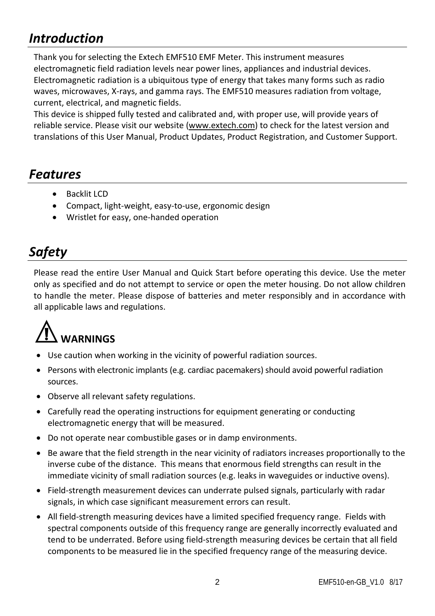## *Introduction*

Thank you for selecting the Extech EMF510 EMF Meter. This instrument measures electromagnetic field radiation levels near power lines, appliances and industrial devices. Electromagnetic radiation is a ubiquitous type of energy that takes many forms such as radio waves, microwaves, X-rays, and gamma rays. The EMF510 measures radiation from voltage, current, electrical, and magnetic fields.

This device is shipped fully tested and calibrated and, with proper use, will provide years of reliable service. Please visit our website [\(www.extech.com\)](http://www.extech.com/) to check for the latest version and translations of this User Manual, Product Updates, Product Registration, and Customer Support.

### *Features*

- Backlit LCD
- Compact, light-weight, easy-to-use, ergonomic design
- Wristlet for easy, one-handed operation

## *Safety*

Please read the entire User Manual and Quick Start before operating this device. Use the meter only as specified and do not attempt to service or open the meter housing. Do not allow children to handle the meter. Please dispose of batteries and meter responsibly and in accordance with all applicable laws and regulations.

# **WARNINGS**

- Use caution when working in the vicinity of powerful radiation sources.
- Persons with electronic implants (e.g. cardiac pacemakers) should avoid powerful radiation sources.
- Observe all relevant safety regulations.
- Carefully read the operating instructions for equipment generating or conducting electromagnetic energy that will be measured.
- Do not operate near combustible gases or in damp environments.
- Be aware that the field strength in the near vicinity of radiators increases proportionally to the inverse cube of the distance. This means that enormous field strengths can result in the immediate vicinity of small radiation sources (e.g. leaks in waveguides or inductive ovens).
- Field-strength measurement devices can underrate pulsed signals, particularly with radar signals, in which case significant measurement errors can result.
- All field-strength measuring devices have a limited specified frequency range. Fields with spectral components outside of this frequency range are generally incorrectly evaluated and tend to be underrated. Before using field-strength measuring devices be certain that all field components to be measured lie in the specified frequency range of the measuring device.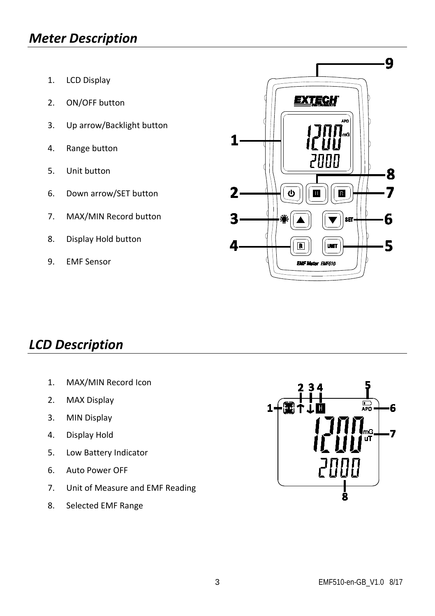## *Meter Description*

- 1. LCD Display
- 2. ON/OFF button
- 3. Up arrow/Backlight button
- 4. Range button
- 5. Unit button
- 6. Down arrow/SET button
- 7. MAX/MIN Record button
- 8. Display Hold button
- 9. EMF Sensor



## *LCD Description*

- 1. MAX/MIN Record Icon
- 2. MAX Display
- 3. MIN Display
- 4. Display Hold
- 5. Low Battery Indicator
- 6. Auto Power OFF
- 7. Unit of Measure and EMF Reading
- 8. Selected EMF Range

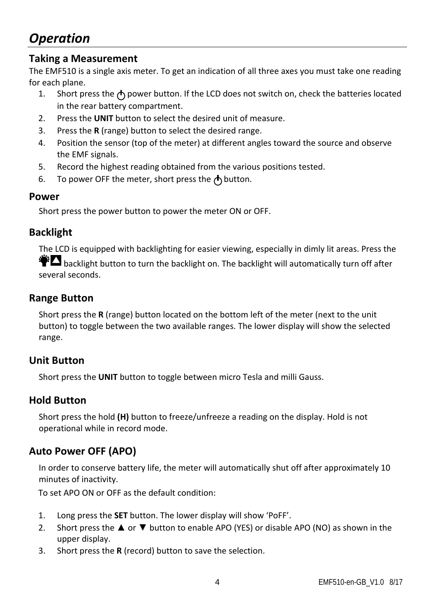## *Operation*

#### **Taking a Measurement**

The EMF510 is a single axis meter. To get an indication of all three axes you must take one reading for each plane.

- 1. Short press the  $\bigwedge$  power button. If the LCD does not switch on, check the batteries located in the rear battery compartment.
- 2. Press the **UNIT** button to select the desired unit of measure.
- 3. Press the **R** (range) button to select the desired range.
- 4. Position the sensor (top of the meter) at different angles toward the source and observe the EMF signals.
- 5. Record the highest reading obtained from the various positions tested.
- 6. To power OFF the meter, short press the  $\bigwedge$  button.

#### **Power**

Short press the power button to power the meter ON or OFF.

#### **Backlight**

The LCD is equipped with backlighting for easier viewing, especially in dimly lit areas. Press the  $\bullet$  backlight button to turn the backlight on. The backlight will automatically turn off after several seconds.

#### **Range Button**

Short press the **R** (range) button located on the bottom left of the meter (next to the unit button) to toggle between the two available ranges. The lower display will show the selected range.

#### **Unit Button**

Short press the **UNIT** button to toggle between micro Tesla and milli Gauss.

#### **Hold Button**

Short press the hold **(H)** button to freeze/unfreeze a reading on the display. Hold is not operational while in record mode.

#### **Auto Power OFF (APO)**

In order to conserve battery life, the meter will automatically shut off after approximately 10 minutes of inactivity.

To set APO ON or OFF as the default condition:

- 1. Long press the **SET** button. The lower display will show 'PoFF'.
- 2. Short press the  $\blacktriangle$  or  $\nabla$  button to enable APO (YES) or disable APO (NO) as shown in the upper display.
- 3. Short press the **R** (record) button to save the selection.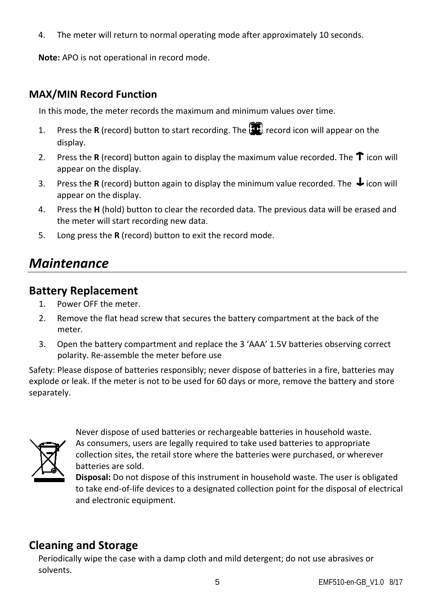4. The meter will return to normal operating mode after approximately 10 seconds.

**Note:** APO is not operational in record mode.

#### **MAX/MIN Record Function**

In this mode, the meter records the maximum and minimum values over time.

- 1. Press the **R** (record) button to start recording. The **1** record icon will appear on the display.
- 2. Press the **R** (record) button again to display the maximum value recorded. The  $\uparrow$  icon will appear on the display.
- 3. Press the **R** (record) button again to display the minimum value recorded. The  $\bigdownarrow$  icon will appear on the display.
- 4. Press the **H** (hold) button to clear the recorded data. The previous data will be erased and the meter will start recording new data.
- 5. Long press the **R** (record) button to exit the record mode.

## *Maintenance*

#### **Battery Replacement**

- 1. Power OFF the meter.
- 2. Remove the flat head screw that secures the battery compartment at the back of the meter.
- 3. Open the battery compartment and replace the 3 'AAA' 1.5V batteries observing correct polarity. Re-assemble the meter before use

Safety: Please dispose of batteries responsibly; never dispose of batteries in a fire, batteries may explode or leak. If the meter is not to be used for 60 days or more, remove the battery and store separately.



Never dispose of used batteries or rechargeable batteries in household waste. As consumers, users are legally required to take used batteries to appropriate collection sites, the retail store where the batteries were purchased, or wherever batteries are sold.

**Disposal:** Do not dispose of this instrument in household waste. The user is obligated to take end-of-life devices to a designated collection point for the disposal of electrical and electronic equipment.

#### **Cleaning and Storage**

Periodically wipe the case with a damp cloth and mild detergent; do not use abrasives or solvents.